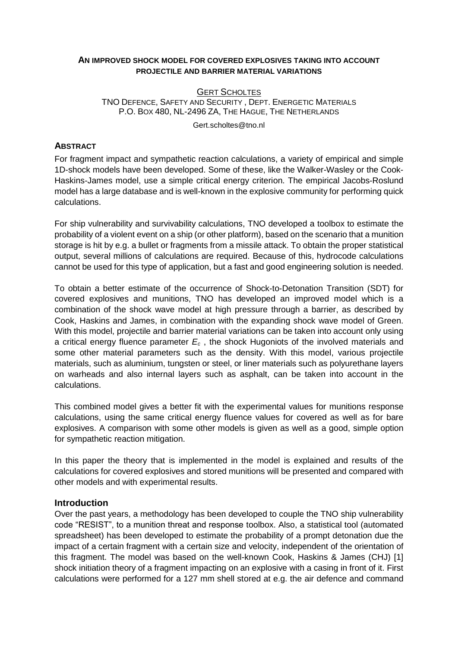### **AN IMPROVED SHOCK MODEL FOR COVERED EXPLOSIVES TAKING INTO ACCOUNT PROJECTILE AND BARRIER MATERIAL VARIATIONS**

# **GERT SCHOLTES** TNO DEFENCE, SAFETY AND SECURITY , DEPT. ENERGETIC MATERIALS P.O. BOX 480, NL-2496 ZA, THE HAGUE, THE NETHERLANDS

Gert.scholtes@tno.nl

### **ABSTRACT**

For fragment impact and sympathetic reaction calculations, a variety of empirical and simple 1D-shock models have been developed. Some of these, like the Walker-Wasley or the Cook-Haskins-James model, use a simple critical energy criterion. The empirical Jacobs-Roslund model has a large database and is well-known in the explosive community for performing quick calculations.

For ship vulnerability and survivability calculations, TNO developed a toolbox to estimate the probability of a violent event on a ship (or other platform), based on the scenario that a munition storage is hit by e.g. a bullet or fragments from a missile attack. To obtain the proper statistical output, several millions of calculations are required. Because of this, hydrocode calculations cannot be used for this type of application, but a fast and good engineering solution is needed.

To obtain a better estimate of the occurrence of Shock-to-Detonation Transition (SDT) for covered explosives and munitions, TNO has developed an improved model which is a combination of the shock wave model at high pressure through a barrier, as described by Cook, Haskins and James, in combination with the expanding shock wave model of Green. With this model, projectile and barrier material variations can be taken into account only using a critical energy fluence parameter *E<sup>c</sup>* , the shock Hugoniots of the involved materials and some other material parameters such as the density. With this model, various projectile materials, such as aluminium, tungsten or steel, or liner materials such as polyurethane layers on warheads and also internal layers such as asphalt, can be taken into account in the calculations.

This combined model gives a better fit with the experimental values for munitions response calculations, using the same critical energy fluence values for covered as well as for bare explosives. A comparison with some other models is given as well as a good, simple option for sympathetic reaction mitigation.

In this paper the theory that is implemented in the model is explained and results of the calculations for covered explosives and stored munitions will be presented and compared with other models and with experimental results.

### **Introduction**

Over the past years, a methodology has been developed to couple the TNO ship vulnerability code "RESIST", to a munition threat and response toolbox. Also, a statistical tool (automated spreadsheet) has been developed to estimate the probability of a prompt detonation due the impact of a certain fragment with a certain size and velocity, independent of the orientation of this fragment. The model was based on the well-known Cook, Haskins & James (CHJ) [\[1\]](#page-9-0) shock initiation theory of a fragment impacting on an explosive with a casing in front of it. First calculations were performed for a 127 mm shell stored at e.g. the air defence and command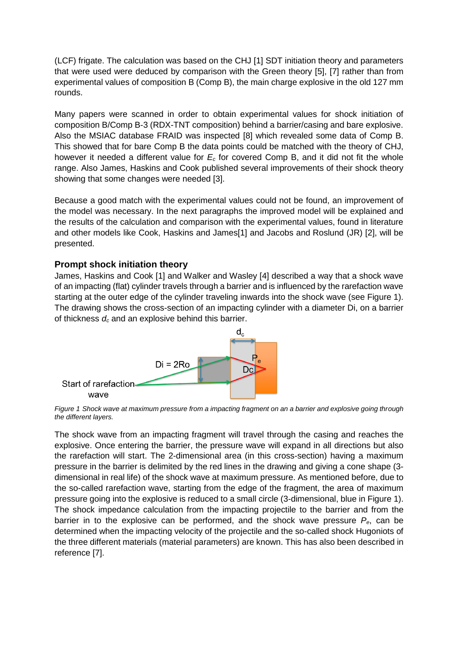(LCF) frigate. The calculation was based on the CHJ [\[1\]](#page-9-0) SDT initiation theory and parameters that were used were deduced by comparison with the Green theory [\[5\]](#page-10-0), [\[7\]](#page-10-1) rather than from experimental values of composition B (Comp B), the main charge explosive in the old 127 mm rounds.

Many papers were scanned in order to obtain experimental values for shock initiation of composition B/Comp B-3 (RDX-TNT composition) behind a barrier/casing and bare explosive. Also the MSIAC database FRAID was inspected [\[8\]](#page-10-2) which revealed some data of Comp B. This showed that for bare Comp B the data points could be matched with the theory of CHJ, however it needed a different value for *E<sup>c</sup>* for covered Comp B, and it did not fit the whole range. Also James, Haskins and Cook published several improvements of their shock theory showing that some changes were needed [\[3\]](#page-10-3).

Because a good match with the experimental values could not be found, an improvement of the model was necessary. In the next paragraphs the improved model will be explained and the results of the calculation and comparison with the experimental values, found in literature and other models like Cook, Haskins and Jame[s\[1\]](#page-9-0) and Jacobs and Roslund (JR) [\[2\]](#page-9-1), will be presented.

## **Prompt shock initiation theory**

James, Haskins and Cook [\[1\]](#page-9-0) and Walker and Wasley [\[4\]](#page-10-4) described a way that a shock wave of an impacting (flat) cylinder travels through a barrier and is influenced by the rarefaction wave starting at the outer edge of the cylinder traveling inwards into the shock wave (see [Figure 1\)](#page-1-0). The drawing shows the cross-section of an impacting cylinder with a diameter Di, on a barrier of thickness *d<sup>c</sup>* and an explosive behind this barrier.



<span id="page-1-0"></span>*Figure 1 Shock wave at maximum pressure from a impacting fragment on an a barrier and explosive going through the different layers.*

The shock wave from an impacting fragment will travel through the casing and reaches the explosive. Once entering the barrier, the pressure wave will expand in all directions but also the rarefaction will start. The 2-dimensional area (in this cross-section) having a maximum pressure in the barrier is delimited by the red lines in the drawing and giving a cone shape (3 dimensional in real life) of the shock wave at maximum pressure. As mentioned before, due to the so-called rarefaction wave, starting from the edge of the fragment, the area of maximum pressure going into the explosive is reduced to a small circle (3-dimensional, blue i[n Figure 1\)](#page-1-0). The shock impedance calculation from the impacting projectile to the barrier and from the barrier in to the explosive can be performed, and the shock wave pressure *Pe*, can be determined when the impacting velocity of the projectile and the so-called shock Hugoniots of the three different materials (material parameters) are known. This has also been described in reference [\[7\]](#page-10-1).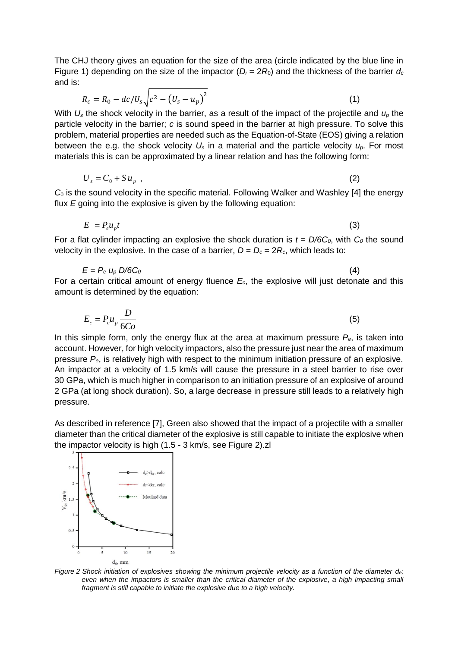The CHJ theory gives an equation for the size of the area (circle indicated by the blue line in [Figure 1\)](#page-1-0) depending on the size of the impactor ( $D_i = 2R_0$ ) and the thickness of the barrier  $d_c$ and is:

$$
R_c = R_0 - d c / U_s \sqrt{c^2 - (U_s - u_p)^2}
$$
 (1)

With *U<sup>s</sup>* the shock velocity in the barrier, as a result of the impact of the projectile and *u<sup>p</sup>* the particle velocity in the barrier; *c* is sound speed in the barrier at high pressure. To solve this problem, material properties are needed such as the Equation-of-State (EOS) giving a relation between the e.g. the shock velocity *U<sup>s</sup>* in a material and the particle velocity *up*. For most materials this is can be approximated by a linear relation and has the following form:

$$
U_s = C_0 + S u_p \tag{2}
$$

*C*<sup>0</sup> is the sound velocity in the specific material. Following Walker and Washley [\[4\]](#page-10-4) the energy flux *E* going into the explosive is given by the following equation:

$$
E = P_e u_p t \tag{3}
$$

For a flat cylinder impacting an explosive the shock duration is  $t = D/6C_0$ , with  $C_0$  the sound velocity in the explosive. In the case of a barrier,  $D = D_c = 2R_c$ , which leads to:

$$
E = P_e \, u_p \, D/6C_0 \tag{4}
$$

For a certain critical amount of energy fluence *Ec*, the explosive will just detonate and this amount is determined by the equation:

$$
E_c = P_e u_p \frac{D}{6Co}
$$
 (5)

In this simple form, only the energy flux at the area at maximum pressure  $P_{e}$ , is taken into account. However, for high velocity impactors, also the pressure just near the area of maximum pressure *Pe*, is relatively high with respect to the minimum initiation pressure of an explosive. An impactor at a velocity of 1.5 km/s will cause the pressure in a steel barrier to rise over 30 GPa, which is much higher in comparison to an initiation pressure of an explosive of around 2 GPa (at long shock duration). So, a large decrease in pressure still leads to a relatively high pressure.

As described in reference [\[7\]](#page-10-1), Green also showed that the impact of a projectile with a smaller diameter than the critical diameter of the explosive is still capable to initiate the explosive when the impactor velocity is high (1.5 - 3 km/s, see [Figure 2\)](#page-2-0).zl



<span id="page-2-0"></span>*Figure 2 Shock initiation of explosives showing the minimum projectile velocity as a function of the diameter de; even when the impactors is smaller than the critical diameter of the explosive, a high impacting small fragment is still capable to initiate the explosive due to a high velocity.*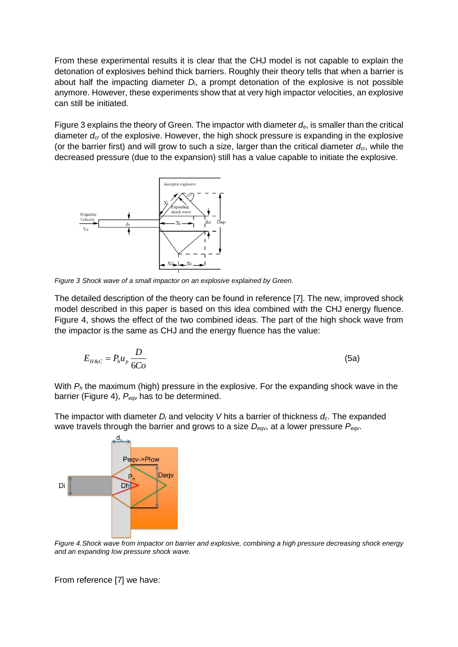From these experimental results it is clear that the CHJ model is not capable to explain the detonation of explosives behind thick barriers. Roughly their theory tells that when a barrier is about half the impacting diameter *Di*, a prompt detonation of the explosive is not possible anymore. However, these experiments show that at very high impactor velocities, an explosive can still be initiated.

Figure 3 explains the theory of Green. The impactor with diameter *de*, is smaller than the critical diameter *dcr* of the explosive. However, the high shock pressure is expanding in the explosive (or the barrier first) and will grow to such a size, larger than the critical diameter  $d_{cr}$ , while the decreased pressure (due to the expansion) still has a value capable to initiate the explosive.



<span id="page-3-1"></span>*Figure 3 Shock wave of a small impactor on an explosive explained by Green.*

The detailed description of the theory can be found in reference [\[7\]](#page-10-1). The new, improved shock model described in this paper is based on this idea combined with the CHJ energy fluence. Figure 4, shows the effect of the two combined ideas. The part of the high shock wave from the impactor is the same as CHJ and the energy fluence has the value:

$$
E_{H\&C} = P_h u_p \frac{D}{6Co}
$$
 (5a)

With *P<sup>h</sup>* the maximum (high) pressure in the explosive. For the expanding shock wave in the barrier [\(Figure 4\)](#page-3-0), *Peqv* has to be determined.

The impactor with diameter *D<sup>i</sup>* and velocity *V* hits a barrier of thickness *dc*. The expanded wave travels through the barrier and grows to a size *Deqv*, at a lower pressure *Peqv*.



<span id="page-3-0"></span>*Figure 4.Shock wave from impactor on barrier and explosive, combining a high pressure decreasing shock energy and an expanding low pressure shock wave.*

From reference [\[7\]](#page-10-1) we have: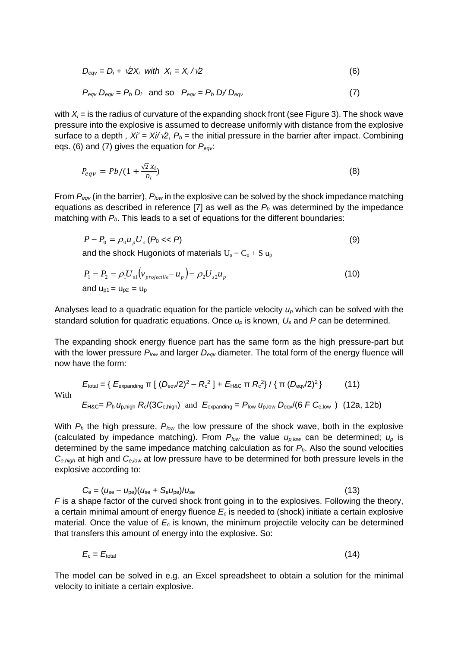$$
D_{\text{eqv}} = D_i + \sqrt{2}X_i \quad \text{with} \quad X_i = X_i / \sqrt{2} \tag{6}
$$

$$
P_{\text{eqv}} D_{\text{eqv}} = P_b D_i \quad \text{and so} \quad P_{\text{eqv}} = P_b D_i / D_{\text{eqv}} \tag{7}
$$

with  $X_i$  = is the radius of curvature of the expanding shock front (see [Figure 3\)](#page-3-1). The shock wave pressure into the explosive is assumed to decrease uniformly with distance from the explosive surface to a depth *,*  $Xi' = Xi/\sqrt{2}$ *,*  $P_b$  = the initial pressure in the barrier after impact. Combining eqs. (6) and (7) gives the equation for *Peqv*:

$$
P_{eqv} = Pb/(1 + \frac{\sqrt{2} X_i}{D_i})
$$
\n
$$
\tag{8}
$$

From *Peqv* (in the barrier), *Plow* in the explosive can be solved by the shock impedance matching equations as described in reference [\[7\]](#page-10-1) as well as the  $P_h$  was determined by the impedance matching with  $P_b$ . This leads to a set of equations for the different boundaries:

$$
P - P_0 = \rho_0 u_p U_s (P_0 \ll P)
$$
  
and the shock Hugoniots of materials  $U_s = C_0 + S u_p$  (9)

$$
P_1 = P_2 = \rho_1 U_{s1} \left( v_{projectile} - u_p \right) = \rho_2 U_{s2} u_p
$$
  
and  $u_{p1} = u_{p2} = u_p$  (10)

Analyses lead to a quadratic equation for the particle velocity *u<sup>p</sup>* which can be solved with the standard solution for quadratic equations. Once *u<sup>p</sup>* is known, *U<sup>s</sup>* and *P* can be determined.

The expanding shock energy fluence part has the same form as the high pressure-part but with the lower pressure *Plow* and larger *Deqv* diameter. The total form of the energy fluence will now have the form:

$$
E_{\text{total}} = \left\{ E_{\text{expanding}} \pi \left[ (D_{\text{eq}}/2)^2 - R_c^2 \right] + E_{\text{HAC}} \pi R_c^2 \right\} / \left\{ \pi (D_{\text{eq}}/2)^2 \right\} \tag{11}
$$
\n
$$
E_{\text{HAC}} = P_{\text{h}} U_{\text{p,high}} R_c / (3C_{\text{e,high}}) \text{ and } E_{\text{expanding}} = P_{\text{low}} U_{\text{p,low}} D_{\text{eq}} / (6 \ F C_{\text{e,low}}) \tag{12a, 12b}
$$

With

With *P<sup>h</sup>* the high pressure, *Plow* the low pressure of the shock wave, both in the explosive (calculated by impedance matching). From  $P_{low}$  the value  $u_{p,low}$  can be determined;  $u_p$  is determined by the same impedance matching calculation as for *Ph*. Also the sound velocities *Ce,high* at high and *Ce,low* at low pressure have to be determined for both pressure levels in the explosive according to:

$$
C_{\rm e} = (u_{\rm se} - u_{\rm pe})(u_{\rm se} + S_{\rm e}u_{\rm pe})/u_{\rm se}
$$
 (13)

*F* is a shape factor of the curved shock front going in to the explosives. Following the theory, a certain minimal amount of energy fluence *E<sup>c</sup>* is needed to (shock) initiate a certain explosive material. Once the value of *E<sup>c</sup>* is known, the minimum projectile velocity can be determined that transfers this amount of energy into the explosive. So:

$$
E_{\rm c}=E_{\rm total} \tag{14}
$$

The model can be solved in e.g. an Excel spreadsheet to obtain a solution for the minimal velocity to initiate a certain explosive.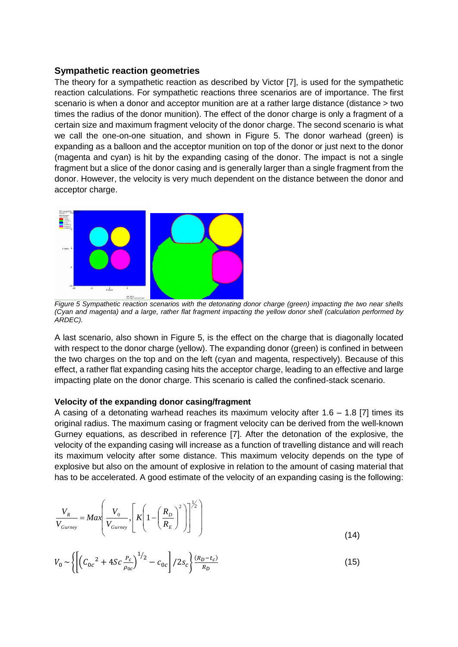#### **Sympathetic reaction geometries**

The theory for a sympathetic reaction as described by Victor [\[7\]](#page-10-1), is used for the sympathetic reaction calculations. For sympathetic reactions three scenarios are of importance. The first scenario is when a donor and acceptor munition are at a rather large distance (distance > two times the radius of the donor munition). The effect of the donor charge is only a fragment of a certain size and maximum fragment velocity of the donor charge. The second scenario is what we call the one-on-one situation, and shown in [Figure 5.](#page-5-0) The donor warhead (green) is expanding as a balloon and the acceptor munition on top of the donor or just next to the donor (magenta and cyan) is hit by the expanding casing of the donor. The impact is not a single fragment but a slice of the donor casing and is generally larger than a single fragment from the donor. However, the velocity is very much dependent on the distance between the donor and acceptor charge.



<span id="page-5-0"></span>*Figure 5 Sympathetic reaction scenarios with the detonating donor charge (green) impacting the two near shells (Cyan and magenta) and a large, rather flat fragment impacting the yellow donor shell (calculation performed by ARDEC).*

A last scenario, also shown in [Figure 5,](#page-5-0) is the effect on the charge that is diagonally located with respect to the donor charge (yellow). The expanding donor (green) is confined in between the two charges on the top and on the left (cyan and magenta, respectively). Because of this effect, a rather flat expanding casing hits the acceptor charge, leading to an effective and large impacting plate on the donor charge. This scenario is called the confined-stack scenario.

#### **Velocity of the expanding donor casing/fragment**

A casing of a detonating warhead reaches its maximum velocity after  $1.6 - 1.8$  [\[7\]](#page-10-1) times its original radius. The maximum casing or fragment velocity can be derived from the well-known Gurney equations, as described in reference [\[7\]](#page-10-1). After the detonation of the explosive, the velocity of the expanding casing will increase as a function of travelling distance and will reach its maximum velocity after some distance. This maximum velocity depends on the type of explosive but also on the amount of explosive in relation to the amount of casing material that has to be accelerated. A good estimate of the velocity of an expanding casing is the following:

$$
\frac{V_R}{V_{Gurney}} = Max \left( \frac{V_0}{V_{Gurney}}, \left[ K \left( 1 - \left( \frac{R_D}{R_E} \right)^2 \right) \right]^{1/2} \right)
$$
\n(14)

$$
V_0 \sim \left\{ \left[ \left( C_{0c}^2 + 4Sc \frac{P_c}{\rho_{0c}} \right)^{1/2} - C_{0c} \right] / 2s_c \right\} \frac{(R_D - t_c)}{R_D} \tag{15}
$$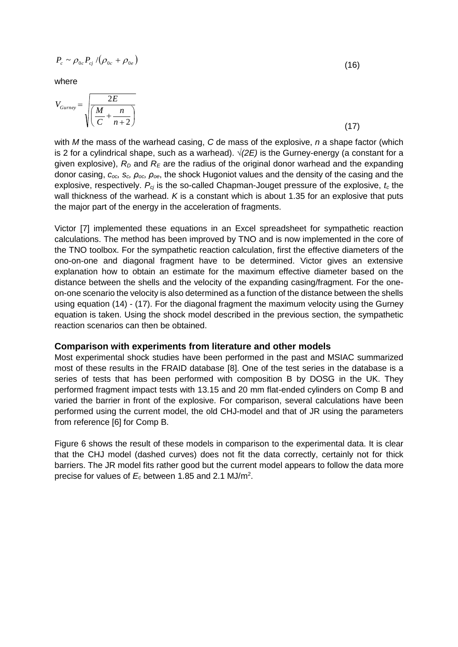$$
P_c \sim \rho_{0c} P_{cj} / (\rho_{0c} + \rho_{0e})
$$

where

$$
V_{Gurney} = \sqrt{\frac{2E}{\left(\frac{M}{C} + \frac{n}{n+2}\right)}}
$$
(17)

with *M* the mass of the warhead casing, *C* de mass of the explosive, *n* a shape factor (which is 2 for a cylindrical shape, such as a warhead). *√(2E)* is the Gurney-energy (a constant for a given explosive),  $R_D$  and  $R_E$  are the radius of the original donor warhead and the expanding donor casing, *coc, sc, ρoc, ρoe*, the shock Hugoniot values and the density of the casing and the explosive, respectively. *Pcj* is the so-called Chapman-Jouget pressure of the explosive, *t<sup>c</sup>* the wall thickness of the warhead. *K* is a constant which is about 1.35 for an explosive that puts the major part of the energy in the acceleration of fragments.

Victor [\[7\]](#page-10-1) implemented these equations in an Excel spreadsheet for sympathetic reaction calculations. The method has been improved by TNO and is now implemented in the core of the TNO toolbox. For the sympathetic reaction calculation, first the effective diameters of the ono-on-one and diagonal fragment have to be determined. Victor gives an extensive explanation how to obtain an estimate for the maximum effective diameter based on the distance between the shells and the velocity of the expanding casing/fragment. For the oneon-one scenario the velocity is also determined as a function of the distance between the shells using equation (14) - (17). For the diagonal fragment the maximum velocity using the Gurney equation is taken. Using the shock model described in the previous section, the sympathetic reaction scenarios can then be obtained.

### **Comparison with experiments from literature and other models**

Most experimental shock studies have been performed in the past and MSIAC summarized most of these results in the FRAID database [\[8\]](#page-10-2). One of the test series in the database is a series of tests that has been performed with composition B by DOSG in the UK. They performed fragment impact tests with 13.15 and 20 mm flat-ended cylinders on Comp B and varied the barrier in front of the explosive. For comparison, several calculations have been performed using the current model, the old CHJ-model and that of JR using the parameters from reference [\[6\]](#page-10-5) for Comp B.

[Figure 6](#page-7-0) shows the result of these models in comparison to the experimental data. It is clear that the CHJ model (dashed curves) does not fit the data correctly, certainly not for thick barriers. The JR model fits rather good but the current model appears to follow the data more precise for values of *E<sup>c</sup>* between 1.85 and 2.1 MJ/m<sup>2</sup> .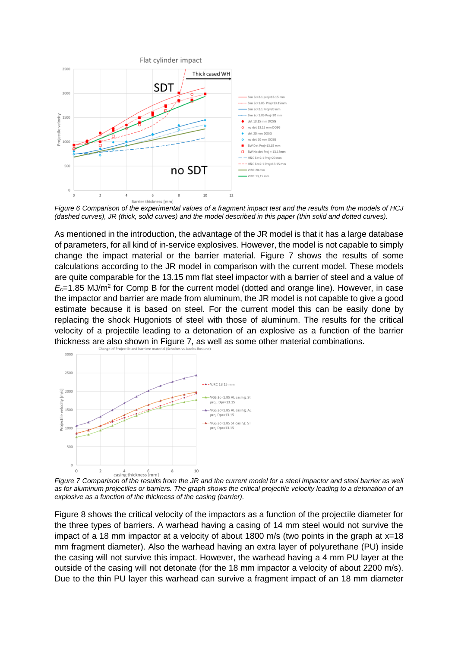

<span id="page-7-0"></span>*Figure 6 Comparison of the experimental values of a fragment impact test and the results from the models of HCJ (dashed curves), JR (thick, solid curves) and the model described in this paper (thin solid and dotted curves).* 

As mentioned in the introduction, the advantage of the JR model is that it has a large database of parameters, for all kind of in-service explosives. However, the model is not capable to simply change the impact material or the barrier material. [Figure 7](#page-7-1) shows the results of some calculations according to the JR model in comparison with the current model. These models are quite comparable for the 13.15 mm flat steel impactor with a barrier of steel and a value of *E*c=1.85 MJ/m<sup>2</sup> for Comp B for the current model (dotted and orange line). However, in case the impactor and barrier are made from aluminum, the JR model is not capable to give a good estimate because it is based on steel. For the current model this can be easily done by replacing the shock Hugoniots of steel with those of aluminum. The results for the critical velocity of a projectile leading to a detonation of an explosive as a function of the barrier thickness are also shown in [Figure 7,](#page-7-1) as well as some other material combinations.



<span id="page-7-1"></span>*Figure 7 Comparison of the results from the JR and the current model for a steel impactor and steel barrier as well as for aluminum projectiles or barriers. The graph shows the critical projectile velocity leading to a detonation of an explosive as a function of the thickness of the casing (barrier).*

[Figure 8](#page-8-0) shows the critical velocity of the impactors as a function of the projectile diameter for the three types of barriers. A warhead having a casing of 14 mm steel would not survive the impact of a 18 mm impactor at a velocity of about 1800 m/s (two points in the graph at x=18 mm fragment diameter). Also the warhead having an extra layer of polyurethane (PU) inside the casing will not survive this impact. However, the warhead having a 4 mm PU layer at the outside of the casing will not detonate (for the 18 mm impactor a velocity of about 2200 m/s). Due to the thin PU layer this warhead can survive a fragment impact of an 18 mm diameter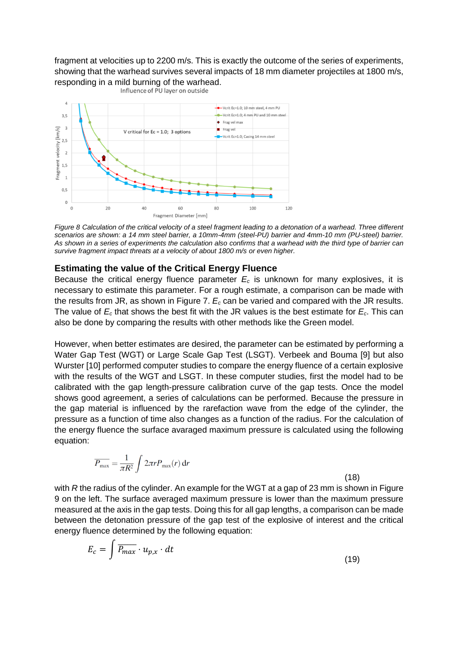fragment at velocities up to 2200 m/s. This is exactly the outcome of the series of experiments, showing that the warhead survives several impacts of 18 mm diameter projectiles at 1800 m/s, responding in a mild burning of the warhead.<br>Influence of PU layer on outside



<span id="page-8-0"></span>*Figure 8 Calculation of the critical velocity of a steel fragment leading to a detonation of a warhead. Three different scenarios are shown: a 14 mm steel barrier, a 10mm-4mm (steel-PU) barrier and 4mm-10 mm (PU-steel) barrier. As shown in a series of experiments the calculation also confirms that a warhead with the third type of barrier can survive fragment impact threats at a velocity of about 1800 m/s or even higher.* 

### **Estimating the value of the Critical Energy Fluence**

Because the critical energy fluence parameter  $E_c$  is unknown for many explosives, it is necessary to estimate this parameter. For a rough estimate, a comparison can be made with the results from JR, as shown in [Figure 7.](#page-7-1) *E<sup>c</sup>* can be varied and compared with the JR results. The value of *E<sup>c</sup>* that shows the best fit with the JR values is the best estimate for *Ec*. This can also be done by comparing the results with other methods like the Green model.

However, when better estimates are desired, the parameter can be estimated by performing a Water Gap Test (WGT) or Large Scale Gap Test (LSGT). Verbeek and Bouma [\[9\]](#page-10-6) but also Wurster [\[10\]](#page-10-7) performed computer studies to compare the energy fluence of a certain explosive with the results of the WGT and LSGT. In these computer studies, first the model had to be calibrated with the gap length-pressure calibration curve of the gap tests. Once the model shows good agreement, a series of calculations can be performed. Because the pressure in the gap material is influenced by the rarefaction wave from the edge of the cylinder, the pressure as a function of time also changes as a function of the radius. For the calculation of the energy fluence the surface avaraged maximum pressure is calculated using the following equation:

$$
\overline{P_{\text{max}}} = \frac{1}{\pi R^2} \int 2\pi r P_{\text{max}}(r) dr
$$

(18)

with *R* the radius of the cylinder. An example for the WGT at a gap of 23 mm is shown in Figure [9](#page-9-2) on the left. The surface averaged maximum pressure is lower than the maximum pressure measured at the axis in the gap tests. Doing this for all gap lengths, a comparison can be made between the detonation pressure of the gap test of the explosive of interest and the critical energy fluence determined by the following equation:

$$
E_c = \int \overline{P_{max}} \cdot u_{p,x} \cdot dt \tag{19}
$$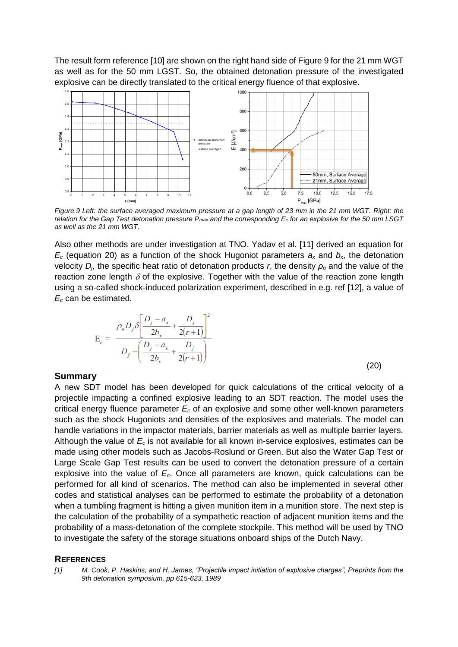<span id="page-9-1"></span>The result form referenc[e \[10\]](#page-10-7) are shown on the right hand side of [Figure 9](#page-9-2) for the 21 mm WGT as well as for the 50 mm LGST. So, the obtained detonation pressure of the investigated explosive can be directly translated to the critical energy fluence of that explosive.



<span id="page-9-2"></span>*Figure 9 Left: the surface averaged maximum pressure at a gap length of 23 mm in the 21 mm WGT. Right: the relation for the Gap Test detonation pressure Pmax and the corresponding E<sup>c</sup> for an explosive for the 50 mm LSGT as well as the 21 mm WGT.* 

Also other methods are under investigation at TNO. Yadav et al. [\[11\]](#page-10-8) derived an equation for  $E_c$  (equation 20) as a function of the shock Hugoniot parameters  $a_x$  and  $b_x$ , the detonation velocity *Dj*, the specific heat ratio of detonation products *r*, the density *ρ<sup>o</sup>* and the value of the reaction zone length  $\delta$  of the explosive. Together with the value of the reaction zone length using a so-called shock-induced polarization experiment, described in e.g. ref [\[12\]](#page-10-9), a value of *E<sup>c</sup>* can be estimated.

$$
E_c = \frac{\rho_o D_j \delta \left[ \frac{D_j - a_x}{2b_x} + \frac{D_j}{2(r+1)} \right]^2}{D_j - \left( \frac{D_j - a_x}{2b_x} + \frac{D_j}{2(r+1)} \right)}
$$
(20)

#### **Summary**

A new SDT model has been developed for quick calculations of the critical velocity of a projectile impacting a confined explosive leading to an SDT reaction. The model uses the critical energy fluence parameter *E<sup>c</sup>* of an explosive and some other well-known parameters such as the shock Hugoniots and densities of the explosives and materials. The model can handle variations in the impactor materials, barrier materials as well as multiple barrier layers. Although the value of *E<sup>c</sup>* is not available for all known in-service explosives, estimates can be made using other models such as Jacobs-Roslund or Green. But also the Water Gap Test or Large Scale Gap Test results can be used to convert the detonation pressure of a certain explosive into the value of *Ec*. Once all parameters are known, quick calculations can be performed for all kind of scenarios. The method can also be implemented in several other codes and statistical analyses can be performed to estimate the probability of a detonation when a tumbling fragment is hitting a given munition item in a munition store. The next step is the calculation of the probability of a sympathetic reaction of adjacent munition items and the probability of a mass-detonation of the complete stockpile. This method will be used by TNO to investigate the safety of the storage situations onboard ships of the Dutch Navy.

#### **REFERENCES**

<span id="page-9-0"></span>*[1] M. Cook, P. Haskins, and H. James, "Projectile impact initiation of explosive charges", Preprints from the 9th detonation symposium, pp 615-623, 1989*